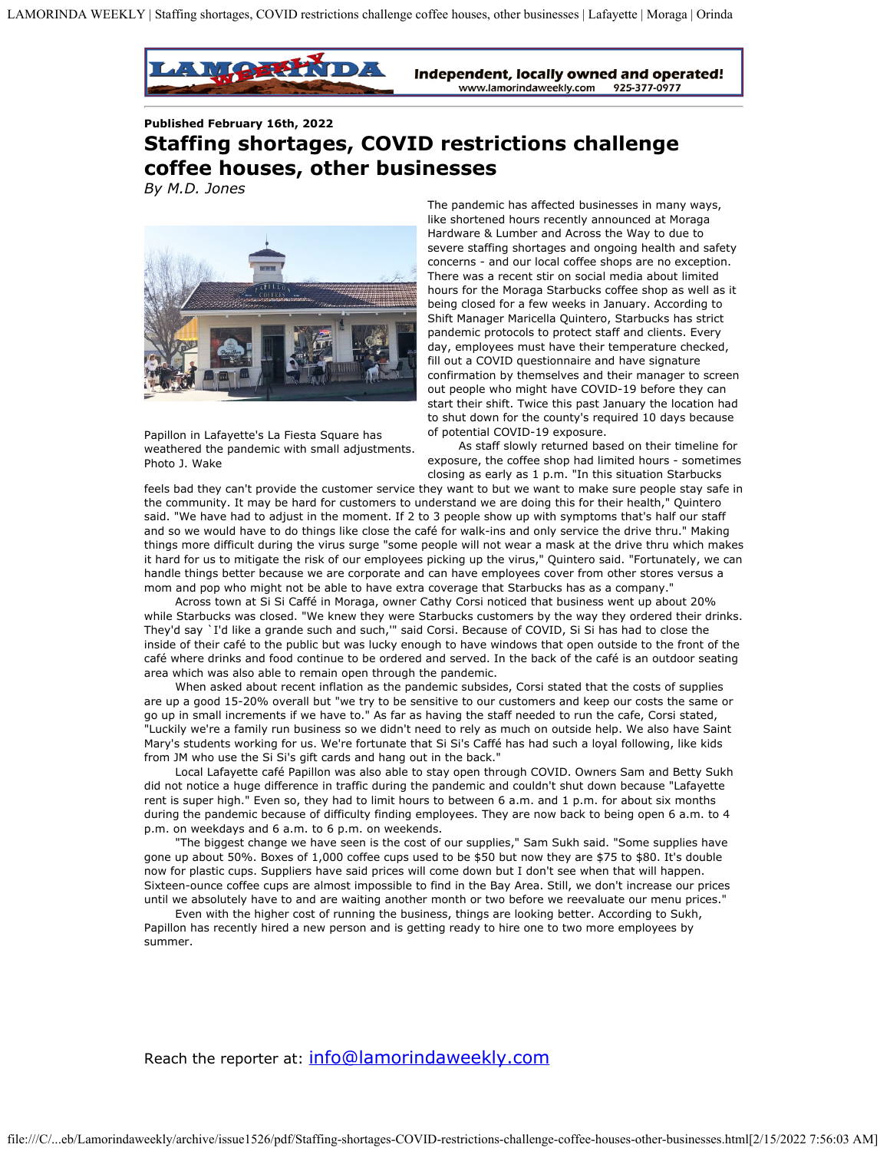

Independent, locally owned and operated! www.lamorindaweekly.com 925-377-0977

**Published February 16th, 2022**

## **Staffing shortages, COVID restrictions challenge coffee houses, other businesses**

*By M.D. Jones*



Papillon in Lafayette's La Fiesta Square has weathered the pandemic with small adjustments. Photo J. Wake

The pandemic has affected businesses in many ways, like shortened hours recently announced at Moraga Hardware & Lumber and Across the Way to due to severe staffing shortages and ongoing health and safety concerns - and our local coffee shops are no exception. There was a recent stir on social media about limited hours for the Moraga Starbucks coffee shop as well as it being closed for a few weeks in January. According to Shift Manager Maricella Quintero, Starbucks has strict pandemic protocols to protect staff and clients. Every day, employees must have their temperature checked, fill out a COVID questionnaire and have signature confirmation by themselves and their manager to screen out people who might have COVID-19 before they can start their shift. Twice this past January the location had to shut down for the county's required 10 days because of potential COVID-19 exposure.

As staff slowly returned based on their timeline for exposure, the coffee shop had limited hours - sometimes closing as early as 1 p.m. "In this situation Starbucks

feels bad they can't provide the customer service they want to but we want to make sure people stay safe in the community. It may be hard for customers to understand we are doing this for their health," Quintero said. "We have had to adjust in the moment. If 2 to 3 people show up with symptoms that's half our staff and so we would have to do things like close the café for walk-ins and only service the drive thru." Making things more difficult during the virus surge "some people will not wear a mask at the drive thru which makes it hard for us to mitigate the risk of our employees picking up the virus," Quintero said. "Fortunately, we can handle things better because we are corporate and can have employees cover from other stores versus a mom and pop who might not be able to have extra coverage that Starbucks has as a company."

Across town at Si Si Caffé in Moraga, owner Cathy Corsi noticed that business went up about 20% while Starbucks was closed. "We knew they were Starbucks customers by the way they ordered their drinks. They'd say `I'd like a grande such and such,'" said Corsi. Because of COVID, Si Si has had to close the inside of their café to the public but was lucky enough to have windows that open outside to the front of the café where drinks and food continue to be ordered and served. In the back of the café is an outdoor seating area which was also able to remain open through the pandemic.

When asked about recent inflation as the pandemic subsides, Corsi stated that the costs of supplies are up a good 15-20% overall but "we try to be sensitive to our customers and keep our costs the same or go up in small increments if we have to." As far as having the staff needed to run the cafe, Corsi stated, "Luckily we're a family run business so we didn't need to rely as much on outside help. We also have Saint Mary's students working for us. We're fortunate that Si Si's Caffé has had such a loyal following, like kids from JM who use the Si Si's gift cards and hang out in the back."

Local Lafayette café Papillon was also able to stay open through COVID. Owners Sam and Betty Sukh did not notice a huge difference in traffic during the pandemic and couldn't shut down because "Lafayette rent is super high." Even so, they had to limit hours to between 6 a.m. and 1 p.m. for about six months during the pandemic because of difficulty finding employees. They are now back to being open 6 a.m. to 4 p.m. on weekdays and 6 a.m. to 6 p.m. on weekends.

"The biggest change we have seen is the cost of our supplies," Sam Sukh said. "Some supplies have gone up about 50%. Boxes of 1,000 coffee cups used to be \$50 but now they are \$75 to \$80. It's double now for plastic cups. Suppliers have said prices will come down but I don't see when that will happen. Sixteen-ounce coffee cups are almost impossible to find in the Bay Area. Still, we don't increase our prices until we absolutely have to and are waiting another month or two before we reevaluate our menu prices."

Even with the higher cost of running the business, things are looking better. According to Sukh, Papillon has recently hired a new person and is getting ready to hire one to two more employees by summer.

Reach the reporter at: [info@lamorindaweekly.com](mailto:info@lamorindaweekly.com)